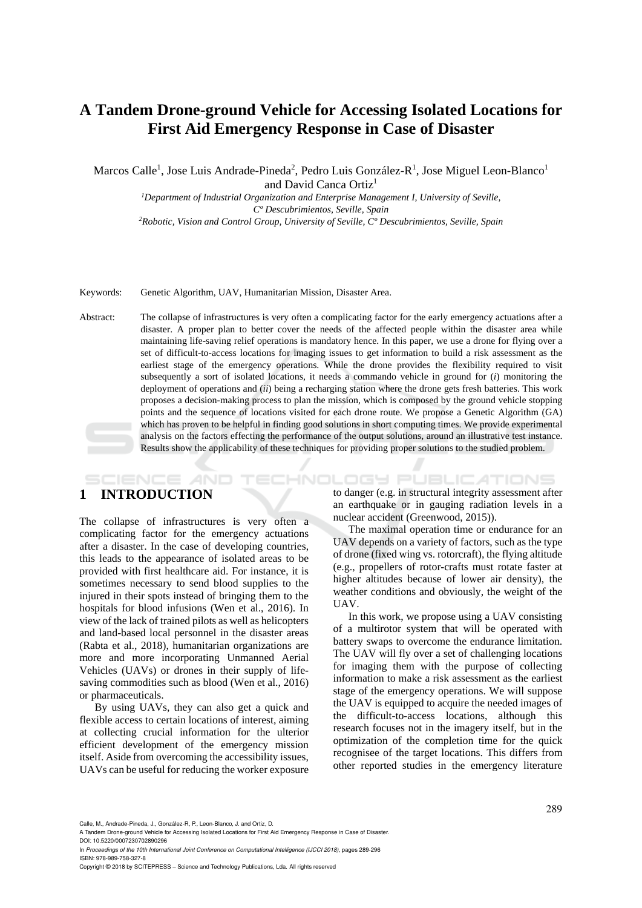# **A Tandem Drone-ground Vehicle for Accessing Isolated Locations for First Aid Emergency Response in Case of Disaster**

Marcos Calle<sup>1</sup>, Jose Luis Andrade-Pineda<sup>2</sup>, Pedro Luis González-R<sup>1</sup>, Jose Miguel Leon-Blanco<sup>1</sup> and David Canca Ortiz<sup>1</sup>

*1Department of Industrial Organization and Enterprise Management I, University of Seville, Cº Descubrimientos, Seville, Spain 2Robotic, Vision and Control Group, University of Seville, Cº Descubrimientos, Seville, Spain* 

Keywords: Genetic Algorithm, UAV, Humanitarian Mission, Disaster Area.

Abstract: The collapse of infrastructures is very often a complicating factor for the early emergency actuations after a disaster. A proper plan to better cover the needs of the affected people within the disaster area while maintaining life-saving relief operations is mandatory hence. In this paper, we use a drone for flying over a set of difficult-to-access locations for imaging issues to get information to build a risk assessment as the earliest stage of the emergency operations. While the drone provides the flexibility required to visit subsequently a sort of isolated locations, it needs a commando vehicle in ground for (*i*) monitoring the deployment of operations and (*ii*) being a recharging station where the drone gets fresh batteries. This work proposes a decision-making process to plan the mission, which is composed by the ground vehicle stopping points and the sequence of locations visited for each drone route. We propose a Genetic Algorithm (GA) which has proven to be helpful in finding good solutions in short computing times. We provide experimental analysis on the factors effecting the performance of the output solutions, around an illustrative test instance. Results show the applicability of these techniques for providing proper solutions to the studied problem.

## **1 INTRODUCTION**

SCIENCE *A*ND

The collapse of infrastructures is very often a complicating factor for the emergency actuations after a disaster. In the case of developing countries, this leads to the appearance of isolated areas to be provided with first healthcare aid. For instance, it is sometimes necessary to send blood supplies to the injured in their spots instead of bringing them to the hospitals for blood infusions (Wen et al., 2016). In view of the lack of trained pilots as well as helicopters and land-based local personnel in the disaster areas (Rabta et al., 2018), humanitarian organizations are more and more incorporating Unmanned Aerial Vehicles (UAVs) or drones in their supply of lifesaving commodities such as blood (Wen et al., 2016) or pharmaceuticals.

By using UAVs, they can also get a quick and flexible access to certain locations of interest, aiming at collecting crucial information for the ulterior efficient development of the emergency mission itself. Aside from overcoming the accessibility issues, UAVs can be useful for reducing the worker exposure

**TECHNOLOGY PUBLICATIONS** to danger (e.g. in structural integrity assessment after an earthquake or in gauging radiation levels in a nuclear accident (Greenwood, 2015)).

> The maximal operation time or endurance for an UAV depends on a variety of factors, such as the type of drone (fixed wing vs. rotorcraft), the flying altitude (e.g., propellers of rotor-crafts must rotate faster at higher altitudes because of lower air density), the weather conditions and obviously, the weight of the UAV.

> In this work, we propose using a UAV consisting of a multirotor system that will be operated with battery swaps to overcome the endurance limitation. The UAV will fly over a set of challenging locations for imaging them with the purpose of collecting information to make a risk assessment as the earliest stage of the emergency operations. We will suppose the UAV is equipped to acquire the needed images of the difficult-to-access locations, although this research focuses not in the imagery itself, but in the optimization of the completion time for the quick recognisee of the target locations. This differs from other reported studies in the emergency literature

Calle, M., Andrade-Pineda, J., González-R, P., Leon-Blanco, J. and Ortiz, D.

A Tandem Drone-ground Vehicle for Accessing Isolated Locations for First Aid Emergency Response in Case of Disaster.

DOI: 10.5220/0007230702890296 In *Proceedings of the 10th International Joint Conference on Computational Intelligence (IJCCI 2018)*, pages 289-296 ISBN: 978-989-758-327-8

Copyright © 2018 by SCITEPRESS – Science and Technology Publications, Lda. All rights reserved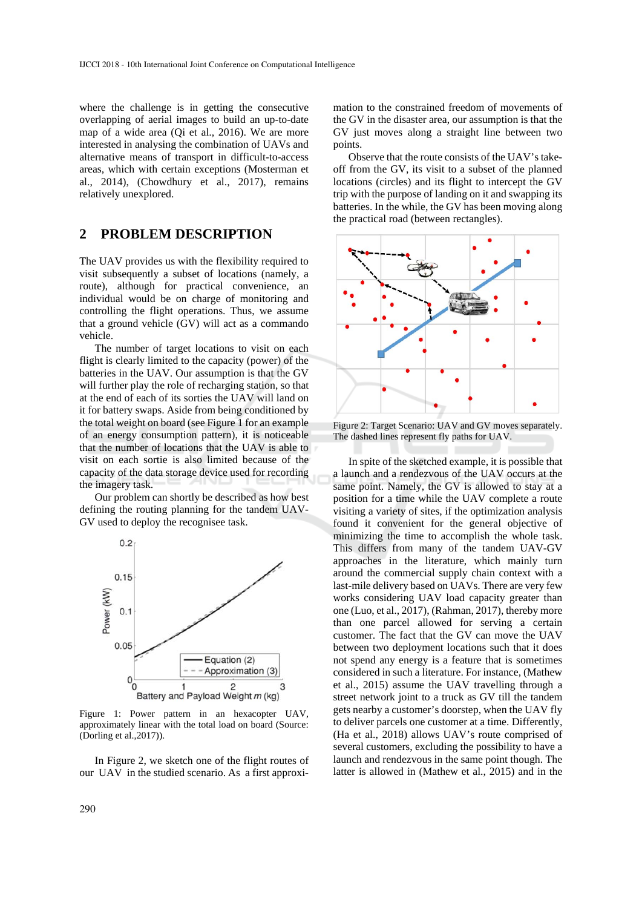where the challenge is in getting the consecutive overlapping of aerial images to build an up-to-date map of a wide area (Qi et al., 2016). We are more interested in analysing the combination of UAVs and alternative means of transport in difficult-to-access areas, which with certain exceptions (Mosterman et al., 2014), (Chowdhury et al., 2017), remains relatively unexplored.

## **2 PROBLEM DESCRIPTION**

The UAV provides us with the flexibility required to visit subsequently a subset of locations (namely, a route), although for practical convenience, an individual would be on charge of monitoring and controlling the flight operations. Thus, we assume that a ground vehicle (GV) will act as a commando vehicle.

The number of target locations to visit on each flight is clearly limited to the capacity (power) of the batteries in the UAV. Our assumption is that the GV will further play the role of recharging station, so that at the end of each of its sorties the UAV will land on it for battery swaps. Aside from being conditioned by the total weight on board (see Figure 1 for an example of an energy consumption pattern), it is noticeable that the number of locations that the UAV is able to visit on each sortie is also limited because of the capacity of the data storage device used for recording the imagery task.

Our problem can shortly be described as how best defining the routing planning for the tandem UAV-GV used to deploy the recognisee task.



Figure 1: Power pattern in an hexacopter UAV, approximately linear with the total load on board (Source: (Dorling et al.,2017)).

In Figure 2, we sketch one of the flight routes of our UAV in the studied scenario. As a first approximation to the constrained freedom of movements of the GV in the disaster area, our assumption is that the GV just moves along a straight line between two points.

Observe that the route consists of the UAV's takeoff from the GV, its visit to a subset of the planned locations (circles) and its flight to intercept the GV trip with the purpose of landing on it and swapping its batteries. In the while, the GV has been moving along the practical road (between rectangles).



Figure 2: Target Scenario: UAV and GV moves separately. The dashed lines represent fly paths for UAV.

In spite of the sketched example, it is possible that a launch and a rendezvous of the UAV occurs at the same point. Namely, the GV is allowed to stay at a position for a time while the UAV complete a route visiting a variety of sites, if the optimization analysis found it convenient for the general objective of minimizing the time to accomplish the whole task. This differs from many of the tandem UAV-GV approaches in the literature, which mainly turn around the commercial supply chain context with a last-mile delivery based on UAVs. There are very few works considering UAV load capacity greater than one (Luo, et al., 2017), (Rahman, 2017), thereby more than one parcel allowed for serving a certain customer. The fact that the GV can move the UAV between two deployment locations such that it does not spend any energy is a feature that is sometimes considered in such a literature. For instance, (Mathew et al., 2015) assume the UAV travelling through a street network joint to a truck as GV till the tandem gets nearby a customer's doorstep, when the UAV fly to deliver parcels one customer at a time. Differently, (Ha et al., 2018) allows UAV's route comprised of several customers, excluding the possibility to have a launch and rendezvous in the same point though. The latter is allowed in (Mathew et al., 2015) and in the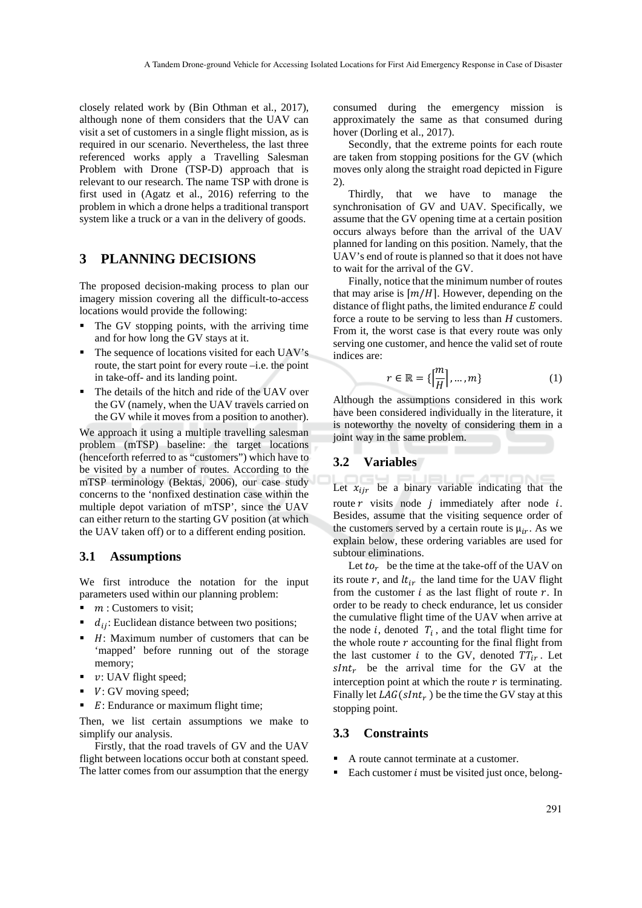closely related work by (Bin Othman et al., 2017), although none of them considers that the UAV can visit a set of customers in a single flight mission, as is required in our scenario. Nevertheless, the last three referenced works apply a Travelling Salesman Problem with Drone (TSP-D) approach that is relevant to our research. The name TSP with drone is first used in (Agatz et al., 2016) referring to the problem in which a drone helps a traditional transport system like a truck or a van in the delivery of goods.

## **3 PLANNING DECISIONS**

The proposed decision-making process to plan our imagery mission covering all the difficult-to-access locations would provide the following:

- The GV stopping points, with the arriving time and for how long the GV stays at it.
- The sequence of locations visited for each UAV's route, the start point for every route –i.e. the point in take-off- and its landing point.
- The details of the hitch and ride of the UAV over the GV (namely, when the UAV travels carried on the GV while it moves from a position to another).

We approach it using a multiple travelling salesman problem (mTSP) baseline: the target locations (henceforth referred to as "customers") which have to be visited by a number of routes. According to the mTSP terminology (Bektas, 2006), our case study concerns to the 'nonfixed destination case within the multiple depot variation of mTSP', since the UAV can either return to the starting GV position (at which the UAV taken off) or to a different ending position.

### **3.1 Assumptions**

We first introduce the notation for the input parameters used within our planning problem:

- $\blacksquare$   $m:$  Customers to visit;
- $d_{ij}$ : Euclidean distance between two positions;
- $H$ : Maximum number of customers that can be 'mapped' before running out of the storage memory;
- $\bullet$  v: UAV flight speed;
- $\blacksquare$   $V:$  GV moving speed;
- $\blacksquare$  E: Endurance or maximum flight time:

Then, we list certain assumptions we make to simplify our analysis.

Firstly, that the road travels of GV and the UAV flight between locations occur both at constant speed. The latter comes from our assumption that the energy consumed during the emergency mission is approximately the same as that consumed during hover (Dorling et al., 2017).

Secondly, that the extreme points for each route are taken from stopping positions for the GV (which moves only along the straight road depicted in Figure 2).

Thirdly, that we have to manage the synchronisation of GV and UAV. Specifically, we assume that the GV opening time at a certain position occurs always before than the arrival of the UAV planned for landing on this position. Namely, that the UAV's end of route is planned so that it does not have to wait for the arrival of the GV.

Finally, notice that the minimum number of routes that may arise is  $[m/H]$ . However, depending on the distance of flight paths, the limited endurance  $E$  could force a route to be serving to less than *H* customers. From it, the worst case is that every route was only serving one customer, and hence the valid set of route indices are:

$$
r \in \mathbb{R} = \left\{ \left| \frac{m}{H} \right|, \dots, m \right\} \tag{1}
$$

Although the assumptions considered in this work have been considered individually in the literature, it is noteworthy the novelty of considering them in a joint way in the same problem.

### **3.2 Variables**

Let  $x_{ijr}$  be a binary variable indicating that the route  $r$  visits node  $j$  immediately after node  $i$ . Besides, assume that the visiting sequence order of the customers served by a certain route is  $\mu_{ir}$ . As we explain below, these ordering variables are used for subtour eliminations.

Let  $to_r$  be the time at the take-off of the UAV on its route  $r$ , and  $lt_{ir}$  the land time for the UAV flight from the customer  $i$  as the last flight of route  $r$ . In order to be ready to check endurance, let us consider the cumulative flight time of the UAV when arrive at the node  $i$ , denoted  $T_i$ , and the total flight time for the whole route  $r$  accounting for the final flight from the last customer  $i$  to the GV, denoted  $TT_{ir}$ . Let  $sInt<sub>r</sub>$  be the arrival time for the GV at the interception point at which the route  $r$  is terminating. Finally let  $LAG(sInt_r)$  be the time the GV stay at this stopping point.

### **3.3 Constraints**

- A route cannot terminate at a customer.
- Each customer  $i$  must be visited just once, belong-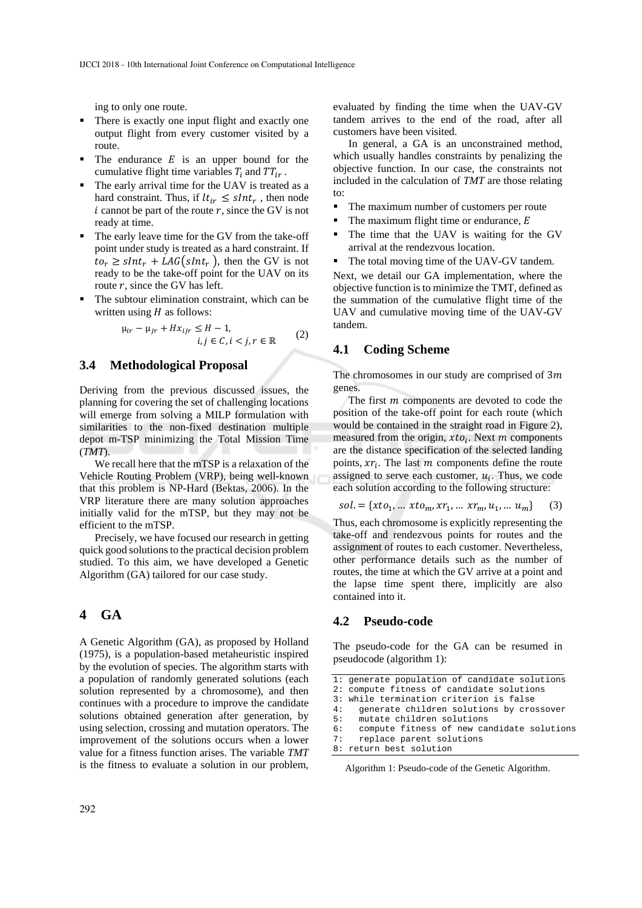ing to only one route.

- There is exactly one input flight and exactly one output flight from every customer visited by a route.
- $\blacksquare$  The endurance E is an upper bound for the cumulative flight time variables  $T_i$  and  $TT_{ir}$ .
- The early arrival time for the UAV is treated as a hard constraint. Thus, if  $lt_{ir} \leq sInt_r$ , then node  $i$  cannot be part of the route  $r$ , since the GV is not ready at time.
- The early leave time for the GV from the take-off point under study is treated as a hard constraint. If  $to_r \geq sInt_r + LAG(sInt_r)$ , then the GV is not ready to be the take-off point for the UAV on its route  $r$ , since the GV has left.
- The subtour elimination constraint, which can be written using  $H$  as follows:

$$
\mu_{ir} - \mu_{jr} + Hx_{ijr} \le H - 1,
$$
  

$$
i, j \in C, i < j, r \in \mathbb{R}
$$
 (2)

### **3.4 Methodological Proposal**

Deriving from the previous discussed issues, the planning for covering the set of challenging locations will emerge from solving a MILP formulation with similarities to the non-fixed destination multiple depot m-TSP minimizing the Total Mission Time (*TMT*).

We recall here that the mTSP is a relaxation of the Vehicle Routing Problem (VRP), being well-known that this problem is NP-Hard (Bektas, 2006). In the VRP literature there are many solution approaches initially valid for the mTSP, but they may not be efficient to the mTSP.

Precisely, we have focused our research in getting quick good solutions to the practical decision problem studied. To this aim, we have developed a Genetic Algorithm (GA) tailored for our case study.

### **4 GA**

A Genetic Algorithm (GA), as proposed by Holland (1975), is a population-based metaheuristic inspired by the evolution of species. The algorithm starts with a population of randomly generated solutions (each solution represented by a chromosome), and then continues with a procedure to improve the candidate solutions obtained generation after generation, by using selection, crossing and mutation operators. The improvement of the solutions occurs when a lower value for a fitness function arises. The variable *TMT* is the fitness to evaluate a solution in our problem*,*

evaluated by finding the time when the UAV-GV tandem arrives to the end of the road, after all customers have been visited.

In general, a GA is an unconstrained method, which usually handles constraints by penalizing the objective function. In our case, the constraints not included in the calculation of *TMT* are those relating to:

- The maximum number of customers per route
- $\blacksquare$  The maximum flight time or endurance, E
- The time that the UAV is waiting for the GV arrival at the rendezvous location.
- The total moving time of the UAV-GV tandem.

Next, we detail our GA implementation, where the objective function is to minimize the TMT, defined as the summation of the cumulative flight time of the UAV and cumulative moving time of the UAV-GV tandem.

### **4.1 Coding Scheme**

The chromosomes in our study are comprised of  $3m$ genes.

The first  *components are devoted to code the* position of the take-off point for each route (which would be contained in the straight road in Figure 2), measured from the origin,  $xto_i$ . Next m components are the distance specification of the selected landing points,  $xr_i$ . The last  $m$  components define the route assigned to serve each customer,  $u_i$ . Thus, we code each solution according to the following structure:

$$
sol = \{xto_1, \dots, xto_m, xr_1, \dots, xr_m, u_1, \dots, u_m\} \tag{3}
$$

Thus, each chromosome is explicitly representing the take-off and rendezvous points for routes and the assignment of routes to each customer. Nevertheless, other performance details such as the number of routes, the time at which the GV arrive at a point and the lapse time spent there, implicitly are also contained into it.

### **4.2 Pseudo-code**

The pseudo-code for the GA can be resumed in pseudocode (algorithm 1):

```
1: generate population of candidate solutions
```

```
2: compute fitness of candidate solutions
```

```
3: while termination criterion is false
```

```
4: generate children solutions by crossover 
5: mutate children solutions
```

```
6: compute fitness of new candidate solutions<br>7: replace parent solutions
      replace parent solutions
```

```
8: return best solution
```
Algorithm 1: Pseudo-code of the Genetic Algorithm.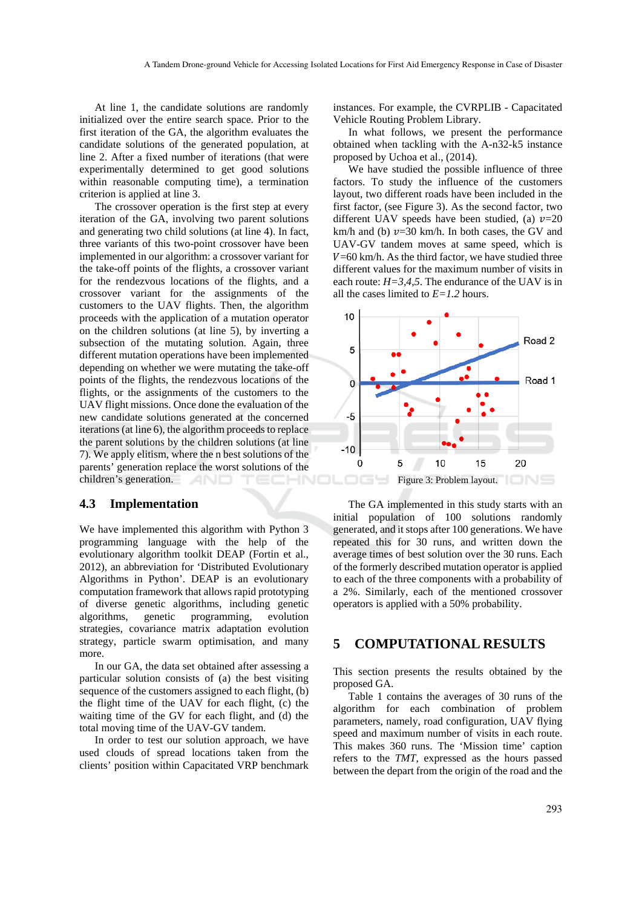At line 1, the candidate solutions are randomly initialized over the entire search space. Prior to the first iteration of the GA, the algorithm evaluates the candidate solutions of the generated population, at line 2. After a fixed number of iterations (that were experimentally determined to get good solutions within reasonable computing time), a termination criterion is applied at line 3.

The crossover operation is the first step at every iteration of the GA, involving two parent solutions and generating two child solutions (at line 4). In fact, three variants of this two-point crossover have been implemented in our algorithm: a crossover variant for the take-off points of the flights, a crossover variant for the rendezvous locations of the flights, and a crossover variant for the assignments of the customers to the UAV flights. Then, the algorithm proceeds with the application of a mutation operator on the children solutions (at line 5), by inverting a subsection of the mutating solution. Again, three different mutation operations have been implemented depending on whether we were mutating the take-off points of the flights, the rendezvous locations of the flights, or the assignments of the customers to the UAV flight missions. Once done the evaluation of the new candidate solutions generated at the concerned iterations (at line 6), the algorithm proceeds to replace the parent solutions by the children solutions (at line 7). We apply elitism, where the n best solutions of the parents' generation replace the worst solutions of the children's generation.

#### **4.3 Implementation**

We have implemented this algorithm with Python 3 programming language with the help of the evolutionary algorithm toolkit DEAP (Fortin et al., 2012), an abbreviation for 'Distributed Evolutionary Algorithms in Python'. DEAP is an evolutionary computation framework that allows rapid prototyping of diverse genetic algorithms, including genetic algorithms, genetic programming, evolution strategies, covariance matrix adaptation evolution strategy, particle swarm optimisation, and many more.

In our GA, the data set obtained after assessing a particular solution consists of (a) the best visiting sequence of the customers assigned to each flight, (b) the flight time of the UAV for each flight, (c) the waiting time of the GV for each flight, and (d) the total moving time of the UAV-GV tandem.

In order to test our solution approach, we have used clouds of spread locations taken from the clients' position within Capacitated VRP benchmark

instances. For example, the CVRPLIB - Capacitated Vehicle Routing Problem Library.

In what follows, we present the performance obtained when tackling with the A-n32-k5 instance proposed by Uchoa et al., (2014).

We have studied the possible influence of three factors. To study the influence of the customers layout, two different roads have been included in the first factor, (see Figure 3). As the second factor, two different UAV speeds have been studied, (a)  $\nu=20$ km/h and (b)  $v=30$  km/h. In both cases, the GV and UAV-GV tandem moves at same speed, which is  $V=60$  km/h. As the third factor, we have studied three different values for the maximum number of visits in each route:  $H = 3.4.5$ . The endurance of the UAV is in all the cases limited to *E=1.2* hours.



The GA implemented in this study starts with an initial population of 100 solutions randomly generated, and it stops after 100 generations. We have repeated this for 30 runs, and written down the average times of best solution over the 30 runs. Each of the formerly described mutation operator is applied to each of the three components with a probability of a 2%. Similarly, each of the mentioned crossover operators is applied with a 50% probability.

### **5 COMPUTATIONAL RESULTS**

This section presents the results obtained by the proposed GA.

Table 1 contains the averages of 30 runs of the algorithm for each combination of problem parameters, namely, road configuration, UAV flying speed and maximum number of visits in each route. This makes 360 runs. The 'Mission time' caption refers to the *TMT*, expressed as the hours passed between the depart from the origin of the road and the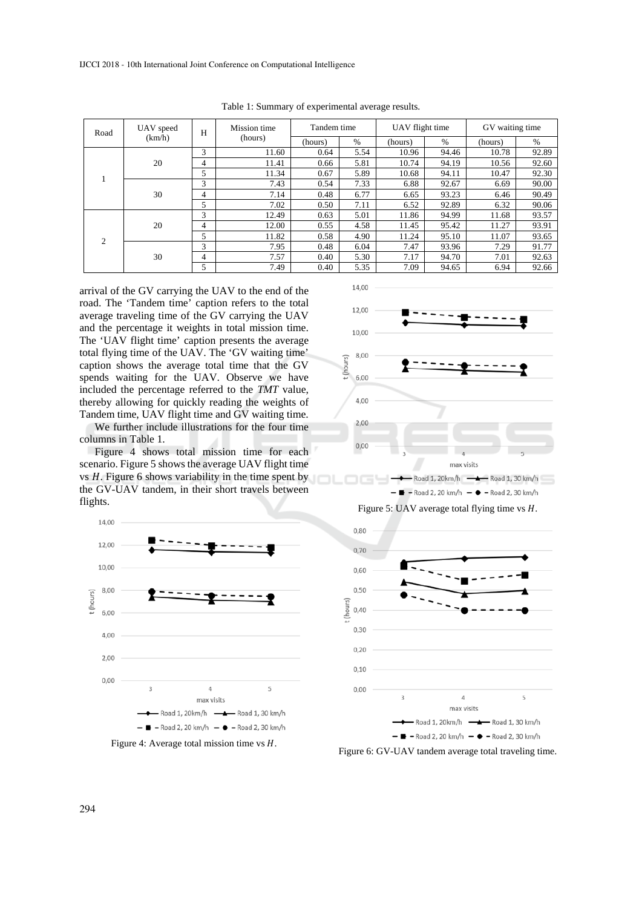| Road           | UAV speed<br>(km/h) | H | Mission time<br>(hours) | Tandem time |      | UAV flight time |       | GV waiting time |       |
|----------------|---------------------|---|-------------------------|-------------|------|-----------------|-------|-----------------|-------|
|                |                     |   |                         | (hours)     | $\%$ | (hours)         | $\%$  | (hours)         | $\%$  |
|                | 20                  | 3 | 11.60                   | 0.64        | 5.54 | 10.96           | 94.46 | 10.78           | 92.89 |
|                |                     | 4 | 11.41                   | 0.66        | 5.81 | 10.74           | 94.19 | 10.56           | 92.60 |
|                |                     | 5 | 11.34                   | 0.67        | 5.89 | 10.68           | 94.11 | 10.47           | 92.30 |
|                | 30                  | 3 | 7.43                    | 0.54        | 7.33 | 6.88            | 92.67 | 6.69            | 90.00 |
|                |                     | 4 | 7.14                    | 0.48        | 6.77 | 6.65            | 93.23 | 6.46            | 90.49 |
|                |                     | 5 | 7.02                    | 0.50        | 7.11 | 6.52            | 92.89 | 6.32            | 90.06 |
| $\overline{c}$ | 20                  | 3 | 12.49                   | 0.63        | 5.01 | 11.86           | 94.99 | 11.68           | 93.57 |
|                |                     | 4 | 12.00                   | 0.55        | 4.58 | 11.45           | 95.42 | 11.27           | 93.91 |
|                |                     | 5 | 11.82                   | 0.58        | 4.90 | 11.24           | 95.10 | 11.07           | 93.65 |
|                | 30                  | 3 | 7.95                    | 0.48        | 6.04 | 7.47            | 93.96 | 7.29            | 91.77 |
|                |                     | 4 | 7.57                    | 0.40        | 5.30 | 7.17            | 94.70 | 7.01            | 92.63 |
|                |                     | 5 | 7.49                    | 0.40        | 5.35 | 7.09            | 94.65 | 6.94            | 92.66 |

14,00

Table 1: Summary of experimental average results.

arrival of the GV carrying the UAV to the end of the road. The 'Tandem time' caption refers to the total average traveling time of the GV carrying the UAV and the percentage it weights in total mission time. The 'UAV flight time' caption presents the average total flying time of the UAV. The 'GV waiting time' caption shows the average total time that the GV spends waiting for the UAV. Observe we have included the percentage referred to the *TMT* value, thereby allowing for quickly reading the weights of Tandem time, UAV flight time and GV waiting time.

We further include illustrations for the four time columns in Table 1.

Figure 4 shows total mission time for each scenario. Figure 5 shows the average UAV flight time vs  $H$ . Figure 6 shows variability in the time spent by the GV-UAV tandem, in their short travels between flights.



Figure 4: Average total mission time vs  $H$ .



Figure 5: UAV average total flying time vs  $H$ .



Figure 6: GV-UAV tandem average total traveling time.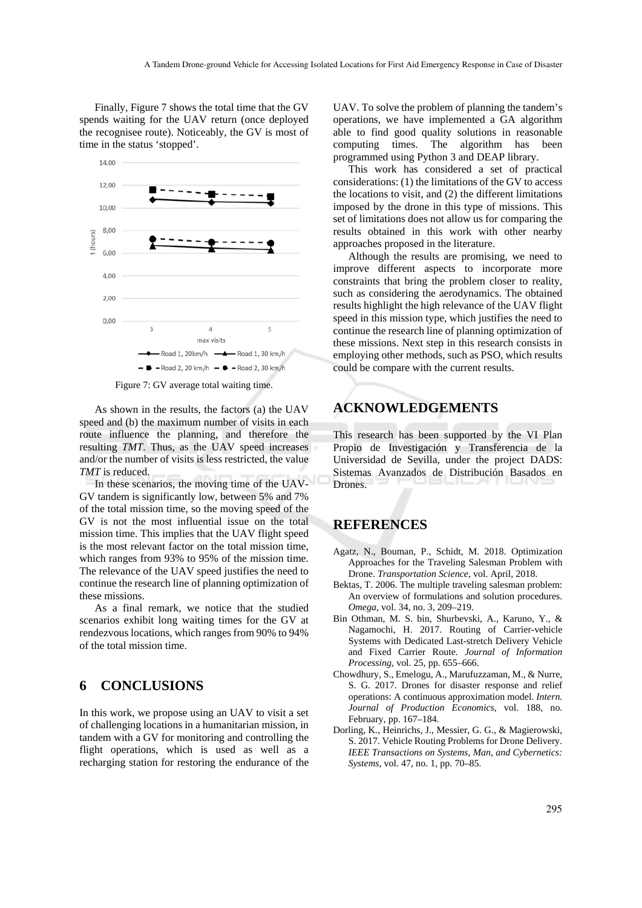Finally, Figure 7 shows the total time that the GV spends waiting for the UAV return (once deployed the recognisee route). Noticeably, the GV is most of time in the status 'stopped'.



Figure 7: GV average total waiting time.

As shown in the results, the factors (a) the UAV speed and (b) the maximum number of visits in each route influence the planning, and therefore the resulting *TMT*. Thus, as the UAV speed increases and/or the number of visits is less restricted, the value *TMT* is reduced.

In these scenarios, the moving time of the UAV-GV tandem is significantly low, between 5% and 7% of the total mission time, so the moving speed of the GV is not the most influential issue on the total mission time. This implies that the UAV flight speed is the most relevant factor on the total mission time, which ranges from 93% to 95% of the mission time. The relevance of the UAV speed justifies the need to continue the research line of planning optimization of these missions.

As a final remark, we notice that the studied scenarios exhibit long waiting times for the GV at rendezvous locations, which ranges from 90% to 94% of the total mission time.

## **6 CONCLUSIONS**

In this work, we propose using an UAV to visit a set of challenging locations in a humanitarian mission, in tandem with a GV for monitoring and controlling the flight operations, which is used as well as a recharging station for restoring the endurance of the

UAV. To solve the problem of planning the tandem's operations, we have implemented a GA algorithm able to find good quality solutions in reasonable computing times. The algorithm has been programmed using Python 3 and DEAP library.

This work has considered a set of practical considerations: (1) the limitations of the GV to access the locations to visit, and (2) the different limitations imposed by the drone in this type of missions. This set of limitations does not allow us for comparing the results obtained in this work with other nearby approaches proposed in the literature.

Although the results are promising, we need to improve different aspects to incorporate more constraints that bring the problem closer to reality, such as considering the aerodynamics. The obtained results highlight the high relevance of the UAV flight speed in this mission type, which justifies the need to continue the research line of planning optimization of these missions. Next step in this research consists in employing other methods, such as PSO, which results could be compare with the current results.

## **ACKNOWLEDGEMENTS**

This research has been supported by the VI Plan Propio de Investigación y Transferencia de la Universidad de Sevilla, under the project DADS: Sistemas Avanzados de Distribución Basados en Drones.

## **REFERENCES**

- Agatz, N., Bouman, P., Schidt, M. 2018. Optimization Approaches for the Traveling Salesman Problem with Drone. *Transportation Science*, vol. April, 2018.
- Bektas, T. 2006. The multiple traveling salesman problem: An overview of formulations and solution procedures. *Omega*, vol. 34, no. 3, 209–219.
- Bin Othman, M. S. bin, Shurbevski, A., Karuno, Y., & Nagamochi, H. 2017. Routing of Carrier-vehicle Systems with Dedicated Last-stretch Delivery Vehicle and Fixed Carrier Route. *Journal of Information Processing,* vol. 25, pp. 655–666.
- Chowdhury, S., Emelogu, A., Marufuzzaman, M., & Nurre, S. G. 2017. Drones for disaster response and relief operations: A continuous approximation model. *Intern. Journal of Production Economics*, vol. 188, no. February, pp. 167–184.
- Dorling, K., Heinrichs, J., Messier, G. G., & Magierowski, S. 2017. Vehicle Routing Problems for Drone Delivery. *IEEE Transactions on Systems, Man, and Cybernetics: Systems*, vol. 47, no. 1, pp. 70–85.